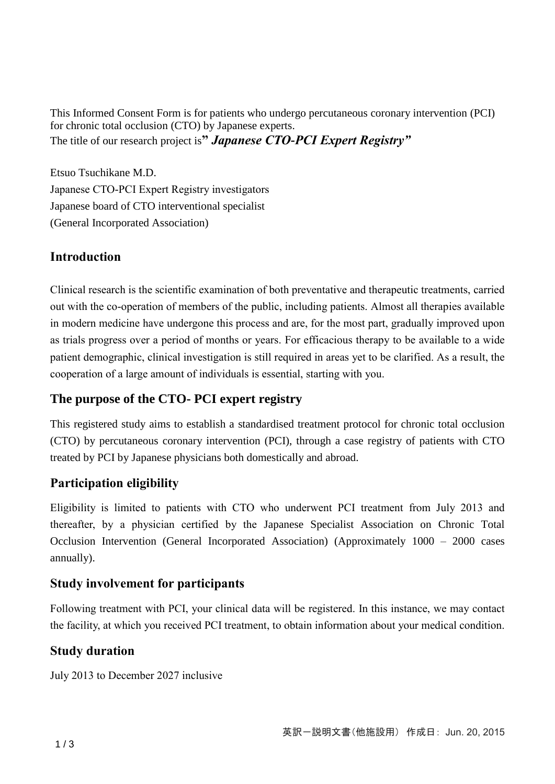This Informed Consent Form is for patients who undergo percutaneous coronary intervention (PCI) for chronic total occlusion (CTO) by Japanese experts. The title of our research project is**"** *Japanese CTO-PCI Expert Registry"*

Etsuo Tsuchikane M.D. Japanese CTO-PCI Expert Registry investigators Japanese board of CTO interventional specialist (General Incorporated Association)

# **Introduction**

Clinical research is the scientific examination of both preventative and therapeutic treatments, carried out with the co-operation of members of the public, including patients. Almost all therapies available in modern medicine have undergone this process and are, for the most part, gradually improved upon as trials progress over a period of months or years. For efficacious therapy to be available to a wide patient demographic, clinical investigation is still required in areas yet to be clarified. As a result, the cooperation of a large amount of individuals is essential, starting with you.

## **The purpose of the CTO- PCI expert registry**

This registered study aims to establish a standardised treatment protocol for chronic total occlusion (CTO) by percutaneous coronary intervention (PCI), through a case registry of patients with CTO treated by PCI by Japanese physicians both domestically and abroad.

### **Participation eligibility**

Eligibility is limited to patients with CTO who underwent PCI treatment from July 2013 and thereafter, by a physician certified by the Japanese Specialist Association on Chronic Total Occlusion Intervention (General Incorporated Association) (Approximately 1000 – 2000 cases annually).

### **Study involvement for participants**

Following treatment with PCI, your clinical data will be registered. In this instance, we may contact the facility, at which you received PCI treatment, to obtain information about your medical condition.

### **Study duration**

July 2013 to December 2027 inclusive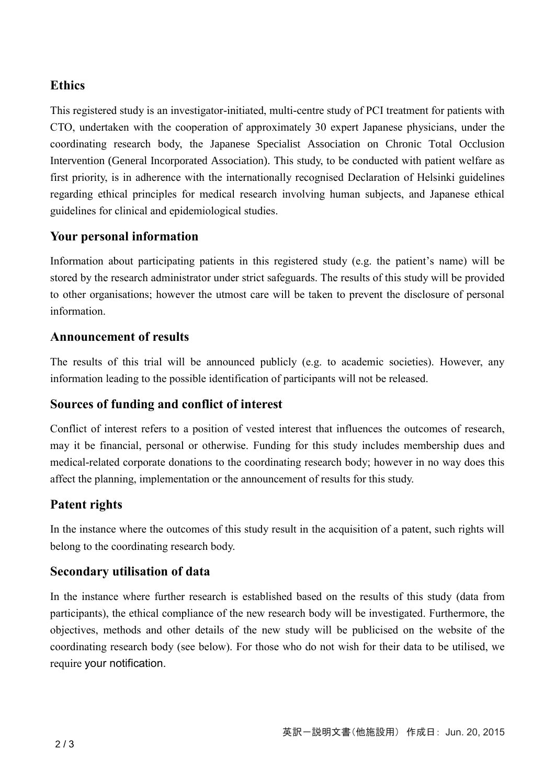# **Ethics**

This registered study is an investigator-initiated, multi-centre study of PCI treatment for patients with CTO, undertaken with the cooperation of approximately 30 expert Japanese physicians, under the coordinating research body, the Japanese Specialist Association on Chronic Total Occlusion Intervention (General Incorporated Association). This study, to be conducted with patient welfare as first priority, is in adherence with the internationally recognised Declaration of Helsinki guidelines regarding ethical principles for medical research involving human subjects, and Japanese ethical guidelines for clinical and epidemiological studies.

# **Your personal information**

Information about participating patients in this registered study (e.g. the patient's name) will be stored by the research administrator under strict safeguards. The results of this study will be provided to other organisations; however the utmost care will be taken to prevent the disclosure of personal information.

### **Announcement of results**

The results of this trial will be announced publicly (e.g. to academic societies). However, any information leading to the possible identification of participants will not be released.

# **Sources of funding and conflict of interest**

Conflict of interest refers to a position of vested interest that influences the outcomes of research, may it be financial, personal or otherwise. Funding for this study includes membership dues and medical-related corporate donations to the coordinating research body; however in no way does this affect the planning, implementation or the announcement of results for this study.

# **Patent rights**

In the instance where the outcomes of this study result in the acquisition of a patent, such rights will belong to the coordinating research body.

# **Secondary utilisation of data**

In the instance where further research is established based on the results of this study (data from participants), the ethical compliance of the new research body will be investigated. Furthermore, the objectives, methods and other details of the new study will be publicised on the website of the coordinating research body (see below). For those who do not wish for their data to be utilised, we require your notification.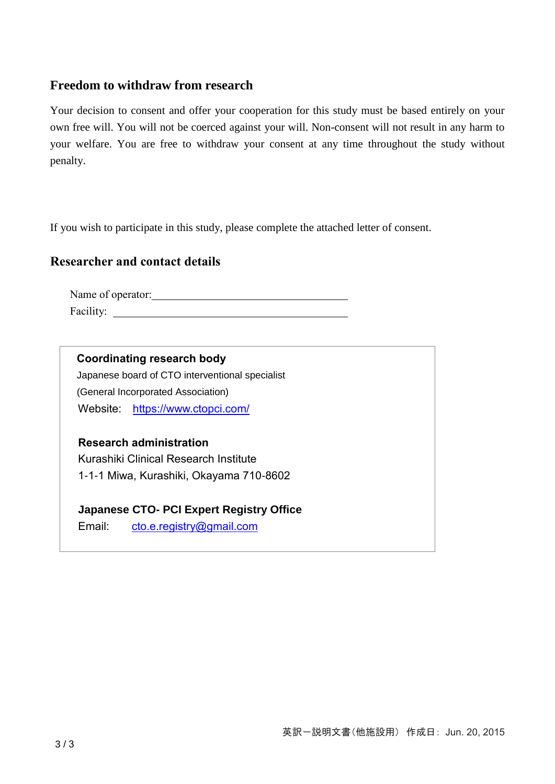#### **Freedom to withdraw from research**

Your decision to consent and offer your cooperation for this study must be based entirely on your own free will. You will not be coerced against your will. Non-consent will not result in any harm to your welfare. You are free to withdraw your consent at any time throughout the study without penalty.

If you wish to participate in this study, please complete the attached letter of consent.

### **Researcher and contact details**

Name of operator: Facility:

**Coordinating research body** Japanese board of CTO interventional specialist (General Incorporated Association) Website: <https://www.ctopci.com/>

 **Research administration**  Kurashiki Clinical Research Institute 1-1-1 Miwa, Kurashiki, Okayama 710-8602

**Japanese CTO- PCI Expert Registry Office**

Email: [cto.e.registry@gmail.com](mailto:cto.e.registry@gmail.com)